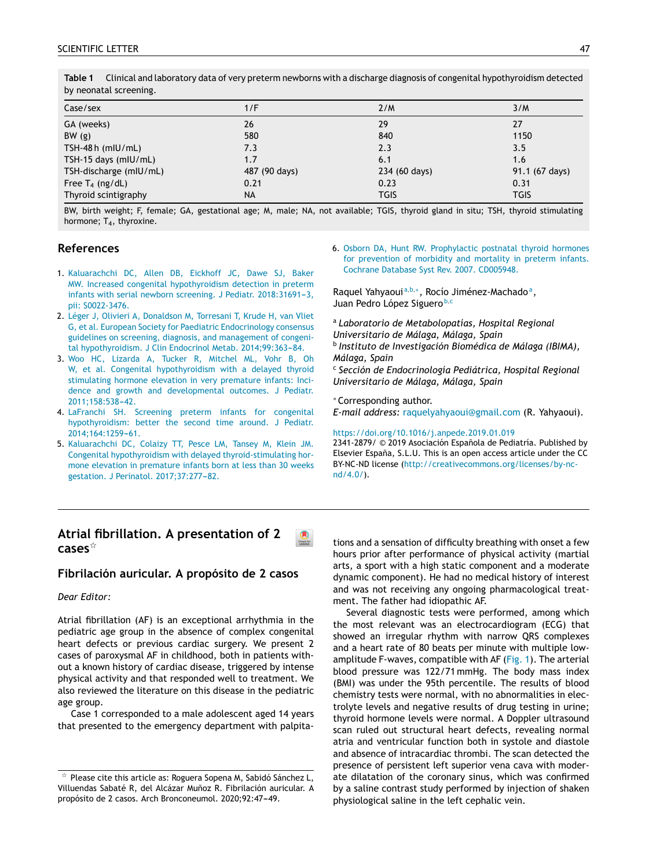| Case/sex               | 1/F           | 2/M           | 3/M            |
|------------------------|---------------|---------------|----------------|
| GA (weeks)             | 26            | 29            | 27             |
| BW(g)                  | 580           | 840           | 1150           |
| TSH-48 $h$ (mIU/mL)    | 7.3           | 2.3           | 3.5            |
| TSH-15 days (mIU/mL)   | 1.7           | 6.1           | 1.6            |
| TSH-discharge (mIU/mL) | 487 (90 days) | 234 (60 days) | 91.1 (67 days) |
| Free $T_4$ (ng/dL)     | 0.21          | 0.23          | 0.31           |
| Thyroid scintigraphy   | <b>NA</b>     | <b>TGIS</b>   | <b>TGIS</b>    |

**Table 1** Clinical and laboratory data of very preterm newborns with a discharge diagnosis of congenital hypothyroidism detected by neonatal screening.

BW, birth weight; F, female; GA, gestational age; M, male; [NA,](http://crossmark.crossref.org/dialog/?doi=10.1016/j.anpede.2019.01.018&domain=pdf) not available; TGIS, thyroid gland in situ; TSH, thyroid stimulating hormone;  $T_4$ , thyroxine.

 $\bigcirc$  check for

## **References**

- 1. [Kaluarachchi](http://refhub.elsevier.com/S2341-2879(19)30220-0/sbref0035) [DC,](http://refhub.elsevier.com/S2341-2879(19)30220-0/sbref0035) [Allen](http://refhub.elsevier.com/S2341-2879(19)30220-0/sbref0035) [DB,](http://refhub.elsevier.com/S2341-2879(19)30220-0/sbref0035) [Eickhoff](http://refhub.elsevier.com/S2341-2879(19)30220-0/sbref0035) [JC,](http://refhub.elsevier.com/S2341-2879(19)30220-0/sbref0035) [Dawe](http://refhub.elsevier.com/S2341-2879(19)30220-0/sbref0035) [SJ,](http://refhub.elsevier.com/S2341-2879(19)30220-0/sbref0035) [Baker](http://refhub.elsevier.com/S2341-2879(19)30220-0/sbref0035) [MW.](http://refhub.elsevier.com/S2341-2879(19)30220-0/sbref0035) [Increased](http://refhub.elsevier.com/S2341-2879(19)30220-0/sbref0035) [congenital](http://refhub.elsevier.com/S2341-2879(19)30220-0/sbref0035) [hypothyroidism](http://refhub.elsevier.com/S2341-2879(19)30220-0/sbref0035) [detection](http://refhub.elsevier.com/S2341-2879(19)30220-0/sbref0035) [in](http://refhub.elsevier.com/S2341-2879(19)30220-0/sbref0035) [preterm](http://refhub.elsevier.com/S2341-2879(19)30220-0/sbref0035) [infants](http://refhub.elsevier.com/S2341-2879(19)30220-0/sbref0035) [with](http://refhub.elsevier.com/S2341-2879(19)30220-0/sbref0035) [serial](http://refhub.elsevier.com/S2341-2879(19)30220-0/sbref0035) [newborn](http://refhub.elsevier.com/S2341-2879(19)30220-0/sbref0035) [screening.](http://refhub.elsevier.com/S2341-2879(19)30220-0/sbref0035) [J](http://refhub.elsevier.com/S2341-2879(19)30220-0/sbref0035) [Pediatr.](http://refhub.elsevier.com/S2341-2879(19)30220-0/sbref0035) 2018:31691-3, [pii:](http://refhub.elsevier.com/S2341-2879(19)30220-0/sbref0035) [S0022-3476.](http://refhub.elsevier.com/S2341-2879(19)30220-0/sbref0035)
- 2. [Léger](http://refhub.elsevier.com/S2341-2879(19)30220-0/sbref0040) [J,](http://refhub.elsevier.com/S2341-2879(19)30220-0/sbref0040) [Olivieri](http://refhub.elsevier.com/S2341-2879(19)30220-0/sbref0040) [A,](http://refhub.elsevier.com/S2341-2879(19)30220-0/sbref0040) [Donaldson](http://refhub.elsevier.com/S2341-2879(19)30220-0/sbref0040) [M,](http://refhub.elsevier.com/S2341-2879(19)30220-0/sbref0040) [Torresani](http://refhub.elsevier.com/S2341-2879(19)30220-0/sbref0040) [T,](http://refhub.elsevier.com/S2341-2879(19)30220-0/sbref0040) [Krude](http://refhub.elsevier.com/S2341-2879(19)30220-0/sbref0040) [H,](http://refhub.elsevier.com/S2341-2879(19)30220-0/sbref0040) [van](http://refhub.elsevier.com/S2341-2879(19)30220-0/sbref0040) [Vliet](http://refhub.elsevier.com/S2341-2879(19)30220-0/sbref0040) [G,](http://refhub.elsevier.com/S2341-2879(19)30220-0/sbref0040) [et](http://refhub.elsevier.com/S2341-2879(19)30220-0/sbref0040) [al.](http://refhub.elsevier.com/S2341-2879(19)30220-0/sbref0040) [European](http://refhub.elsevier.com/S2341-2879(19)30220-0/sbref0040) [Society](http://refhub.elsevier.com/S2341-2879(19)30220-0/sbref0040) [for](http://refhub.elsevier.com/S2341-2879(19)30220-0/sbref0040) [Paediatric](http://refhub.elsevier.com/S2341-2879(19)30220-0/sbref0040) [Endocrinology](http://refhub.elsevier.com/S2341-2879(19)30220-0/sbref0040) [consensus](http://refhub.elsevier.com/S2341-2879(19)30220-0/sbref0040) [guidelines](http://refhub.elsevier.com/S2341-2879(19)30220-0/sbref0040) [on](http://refhub.elsevier.com/S2341-2879(19)30220-0/sbref0040) [screening,](http://refhub.elsevier.com/S2341-2879(19)30220-0/sbref0040) [diagnosis,](http://refhub.elsevier.com/S2341-2879(19)30220-0/sbref0040) [and](http://refhub.elsevier.com/S2341-2879(19)30220-0/sbref0040) [management](http://refhub.elsevier.com/S2341-2879(19)30220-0/sbref0040) [of](http://refhub.elsevier.com/S2341-2879(19)30220-0/sbref0040) [congeni](http://refhub.elsevier.com/S2341-2879(19)30220-0/sbref0040)[tal](http://refhub.elsevier.com/S2341-2879(19)30220-0/sbref0040) [hypothyroidism.](http://refhub.elsevier.com/S2341-2879(19)30220-0/sbref0040) [J](http://refhub.elsevier.com/S2341-2879(19)30220-0/sbref0040) [Clin](http://refhub.elsevier.com/S2341-2879(19)30220-0/sbref0040) [Endocrinol](http://refhub.elsevier.com/S2341-2879(19)30220-0/sbref0040) [Metab.](http://refhub.elsevier.com/S2341-2879(19)30220-0/sbref0040) 2014;99:363-84.
- 3. [Woo](http://refhub.elsevier.com/S2341-2879(19)30220-0/sbref0045) [HC,](http://refhub.elsevier.com/S2341-2879(19)30220-0/sbref0045) [Lizarda](http://refhub.elsevier.com/S2341-2879(19)30220-0/sbref0045) [A,](http://refhub.elsevier.com/S2341-2879(19)30220-0/sbref0045) [Tucker](http://refhub.elsevier.com/S2341-2879(19)30220-0/sbref0045) [R,](http://refhub.elsevier.com/S2341-2879(19)30220-0/sbref0045) [Mitchel](http://refhub.elsevier.com/S2341-2879(19)30220-0/sbref0045) [ML,](http://refhub.elsevier.com/S2341-2879(19)30220-0/sbref0045) [Vohr](http://refhub.elsevier.com/S2341-2879(19)30220-0/sbref0045) [B,](http://refhub.elsevier.com/S2341-2879(19)30220-0/sbref0045) [Oh](http://refhub.elsevier.com/S2341-2879(19)30220-0/sbref0045) [W,](http://refhub.elsevier.com/S2341-2879(19)30220-0/sbref0045) [et](http://refhub.elsevier.com/S2341-2879(19)30220-0/sbref0045) [al.](http://refhub.elsevier.com/S2341-2879(19)30220-0/sbref0045) [Congenital](http://refhub.elsevier.com/S2341-2879(19)30220-0/sbref0045) [hypothyroidism](http://refhub.elsevier.com/S2341-2879(19)30220-0/sbref0045) [with](http://refhub.elsevier.com/S2341-2879(19)30220-0/sbref0045) [a](http://refhub.elsevier.com/S2341-2879(19)30220-0/sbref0045) [delayed](http://refhub.elsevier.com/S2341-2879(19)30220-0/sbref0045) [thyroid](http://refhub.elsevier.com/S2341-2879(19)30220-0/sbref0045) [stimulating](http://refhub.elsevier.com/S2341-2879(19)30220-0/sbref0045) [hormone](http://refhub.elsevier.com/S2341-2879(19)30220-0/sbref0045) [elevation](http://refhub.elsevier.com/S2341-2879(19)30220-0/sbref0045) [in](http://refhub.elsevier.com/S2341-2879(19)30220-0/sbref0045) [very](http://refhub.elsevier.com/S2341-2879(19)30220-0/sbref0045) [premature](http://refhub.elsevier.com/S2341-2879(19)30220-0/sbref0045) [infants:](http://refhub.elsevier.com/S2341-2879(19)30220-0/sbref0045) [Inci](http://refhub.elsevier.com/S2341-2879(19)30220-0/sbref0045)[dence](http://refhub.elsevier.com/S2341-2879(19)30220-0/sbref0045) [and](http://refhub.elsevier.com/S2341-2879(19)30220-0/sbref0045) [growth](http://refhub.elsevier.com/S2341-2879(19)30220-0/sbref0045) [and](http://refhub.elsevier.com/S2341-2879(19)30220-0/sbref0045) [developmental](http://refhub.elsevier.com/S2341-2879(19)30220-0/sbref0045) [outcomes.](http://refhub.elsevier.com/S2341-2879(19)30220-0/sbref0045) [J](http://refhub.elsevier.com/S2341-2879(19)30220-0/sbref0045) [Pediatr.](http://refhub.elsevier.com/S2341-2879(19)30220-0/sbref0045) 2011;158:538-42.
- 4. [LaFranchi](http://refhub.elsevier.com/S2341-2879(19)30220-0/sbref0050) [SH.](http://refhub.elsevier.com/S2341-2879(19)30220-0/sbref0050) [Screening](http://refhub.elsevier.com/S2341-2879(19)30220-0/sbref0050) [preterm](http://refhub.elsevier.com/S2341-2879(19)30220-0/sbref0050) [infants](http://refhub.elsevier.com/S2341-2879(19)30220-0/sbref0050) [for](http://refhub.elsevier.com/S2341-2879(19)30220-0/sbref0050) [congenital](http://refhub.elsevier.com/S2341-2879(19)30220-0/sbref0050) [hypothyroidism:](http://refhub.elsevier.com/S2341-2879(19)30220-0/sbref0050) [better](http://refhub.elsevier.com/S2341-2879(19)30220-0/sbref0050) [the](http://refhub.elsevier.com/S2341-2879(19)30220-0/sbref0050) [second](http://refhub.elsevier.com/S2341-2879(19)30220-0/sbref0050) [time](http://refhub.elsevier.com/S2341-2879(19)30220-0/sbref0050) [around.](http://refhub.elsevier.com/S2341-2879(19)30220-0/sbref0050) [J](http://refhub.elsevier.com/S2341-2879(19)30220-0/sbref0050) [Pediatr.](http://refhub.elsevier.com/S2341-2879(19)30220-0/sbref0050) 2014:164:1259-61.
- 5. [Kaluarachchi](http://refhub.elsevier.com/S2341-2879(19)30220-0/sbref0055) [DC,](http://refhub.elsevier.com/S2341-2879(19)30220-0/sbref0055) [Colaizy](http://refhub.elsevier.com/S2341-2879(19)30220-0/sbref0055) [TT,](http://refhub.elsevier.com/S2341-2879(19)30220-0/sbref0055) [Pesce](http://refhub.elsevier.com/S2341-2879(19)30220-0/sbref0055) [LM,](http://refhub.elsevier.com/S2341-2879(19)30220-0/sbref0055) [Tansey](http://refhub.elsevier.com/S2341-2879(19)30220-0/sbref0055) [M,](http://refhub.elsevier.com/S2341-2879(19)30220-0/sbref0055) [Klein](http://refhub.elsevier.com/S2341-2879(19)30220-0/sbref0055) [JM.](http://refhub.elsevier.com/S2341-2879(19)30220-0/sbref0055) [Congenital](http://refhub.elsevier.com/S2341-2879(19)30220-0/sbref0055) [hypothyroidism](http://refhub.elsevier.com/S2341-2879(19)30220-0/sbref0055) [with](http://refhub.elsevier.com/S2341-2879(19)30220-0/sbref0055) [delayed](http://refhub.elsevier.com/S2341-2879(19)30220-0/sbref0055) [thyroid-stimulating](http://refhub.elsevier.com/S2341-2879(19)30220-0/sbref0055) [hor](http://refhub.elsevier.com/S2341-2879(19)30220-0/sbref0055)[mone](http://refhub.elsevier.com/S2341-2879(19)30220-0/sbref0055) [elevation](http://refhub.elsevier.com/S2341-2879(19)30220-0/sbref0055) [in](http://refhub.elsevier.com/S2341-2879(19)30220-0/sbref0055) [premature](http://refhub.elsevier.com/S2341-2879(19)30220-0/sbref0055) [infants](http://refhub.elsevier.com/S2341-2879(19)30220-0/sbref0055) [born](http://refhub.elsevier.com/S2341-2879(19)30220-0/sbref0055) [at](http://refhub.elsevier.com/S2341-2879(19)30220-0/sbref0055) [less](http://refhub.elsevier.com/S2341-2879(19)30220-0/sbref0055) [than](http://refhub.elsevier.com/S2341-2879(19)30220-0/sbref0055) [30](http://refhub.elsevier.com/S2341-2879(19)30220-0/sbref0055) [weeks](http://refhub.elsevier.com/S2341-2879(19)30220-0/sbref0055) [gestation.](http://refhub.elsevier.com/S2341-2879(19)30220-0/sbref0055) [J](http://refhub.elsevier.com/S2341-2879(19)30220-0/sbref0055) [Perinatol.](http://refhub.elsevier.com/S2341-2879(19)30220-0/sbref0055) [2017;37:277](http://refhub.elsevier.com/S2341-2879(19)30220-0/sbref0055)-[82.](http://refhub.elsevier.com/S2341-2879(19)30220-0/sbref0055)

6. [Osborn](http://refhub.elsevier.com/S2341-2879(19)30220-0/sbref0060) [DA,](http://refhub.elsevier.com/S2341-2879(19)30220-0/sbref0060) [Hunt](http://refhub.elsevier.com/S2341-2879(19)30220-0/sbref0060) [RW.](http://refhub.elsevier.com/S2341-2879(19)30220-0/sbref0060) [Prophylactic](http://refhub.elsevier.com/S2341-2879(19)30220-0/sbref0060) [postnatal](http://refhub.elsevier.com/S2341-2879(19)30220-0/sbref0060) [thyroid](http://refhub.elsevier.com/S2341-2879(19)30220-0/sbref0060) [hormones](http://refhub.elsevier.com/S2341-2879(19)30220-0/sbref0060) [for](http://refhub.elsevier.com/S2341-2879(19)30220-0/sbref0060) [prevention](http://refhub.elsevier.com/S2341-2879(19)30220-0/sbref0060) [of](http://refhub.elsevier.com/S2341-2879(19)30220-0/sbref0060) [morbidity](http://refhub.elsevier.com/S2341-2879(19)30220-0/sbref0060) [and](http://refhub.elsevier.com/S2341-2879(19)30220-0/sbref0060) [mortality](http://refhub.elsevier.com/S2341-2879(19)30220-0/sbref0060) [in](http://refhub.elsevier.com/S2341-2879(19)30220-0/sbref0060) [preterm](http://refhub.elsevier.com/S2341-2879(19)30220-0/sbref0060) [infants.](http://refhub.elsevier.com/S2341-2879(19)30220-0/sbref0060) [Cochrane](http://refhub.elsevier.com/S2341-2879(19)30220-0/sbref0060) [Database](http://refhub.elsevier.com/S2341-2879(19)30220-0/sbref0060) [Syst](http://refhub.elsevier.com/S2341-2879(19)30220-0/sbref0060) [Rev.](http://refhub.elsevier.com/S2341-2879(19)30220-0/sbref0060) [2007.](http://refhub.elsevier.com/S2341-2879(19)30220-0/sbref0060) [CD005948.](http://refhub.elsevier.com/S2341-2879(19)30220-0/sbref0060)

Raquel Yahyaoui<sup>a,b,</sup>\*, Rocío Jiménez-Machado<sup>a</sup>, Juan Pedro López Siguero<sup>b,c</sup>

<sup>a</sup> *Laboratorio de Metabolopatías, Hospital Regional Universitario de Málaga, Málaga, Spain*

b *Instituto de Investigación Biomédica de Málaga (IBIMA), Málaga, Spain*

c *Sección de Endocrinología Pediátrica, Hospital Regional Universitario de Málaga, Málaga, Spain*

<sup>∗</sup> Corresponding author.

*E-mail address:* [raquelyahyaoui@gmail.com](mailto:raquelyahyaoui@gmail.com) (R. Yahyaoui).

<https://doi.org/10.1016/j.anpede.2019.01.019> 2341-2879/ © 2019 Asociación Española de Pediatría. Published by Elsevier España, S.L.U. This is an open access article under the CC BY-NC-ND license ([http://creativecommons.org/licenses/by-nc](http://creativecommons.org/licenses/by-nc-nd/4.0/)[nd/4.0/\)](http://creativecommons.org/licenses/by-nc-nd/4.0/).

# **Atrial fibrillation. A presentation of 2 cases**-

### **Fibrilación auricular. A propósito de 2 casos**

*Dear Editor:*

Atrial fibrillation (AF) is an exceptional arrhythmia in the pediatric age group in the absence of complex congenital heart defects or previous cardiac surgery. We present 2 cases of paroxysmal AF in childhood, both in patients without a known history of cardiac disease, triggered by intense physical activity and that responded well to treatment. We also reviewed the literature on this disease in the pediatric age group.

Case 1 corresponded to a male adolescent aged 14 years that presented to the emergency department with palpitations and a sensation of difficulty breathing with onset a few hours prior after performance of physical activity (martial arts, a sport with a high static component and a moderate dynamic component). He had no medical history of interest and was not receiving any ongoing pharmacological treatment. The father had idiopathic AF.

Several diagnostic tests were performed, among which the most relevant was an electrocardiogram (ECG) that showed an irregular rhythm with narrow QRS complexes and a heart rate of 80 beats per minute with [multiple](http://www.seep.es/) lowamplitude F-waves, compatible with AF [\(Fig.](#page-1-0) 1). The arterial blood pressure was 122/71 mmHg. The body mass index (BMI) was under the 95th percentile. The results of blood chemistry tests were normal, with no abnormalities in electrolyte levels and negative results of drug testing in urine; thyroid hormone levels were normal. A Doppler ultrasound scan ruled out structural heart defects, revealing normal atria and ventricular function both in systole and diastole and absence of intracardiac thrombi. The scan detected the presence of persistent left superior vena cava with moderate dilatation of the coronary sinus, which was confirmed by a saline contrast study performed by injection of shaken physiological saline in the left cephalic vein.

 $\mathrm{\star}\,$  Please cite this article as: Roguera Sopena M, Sabidó Sánchez L, Villuendas Sabaté R, del Alcázar Muñoz R. Fibrilación auricular. A propósito de 2 casos. Arch Bronconeumol. 2020;92:47-49.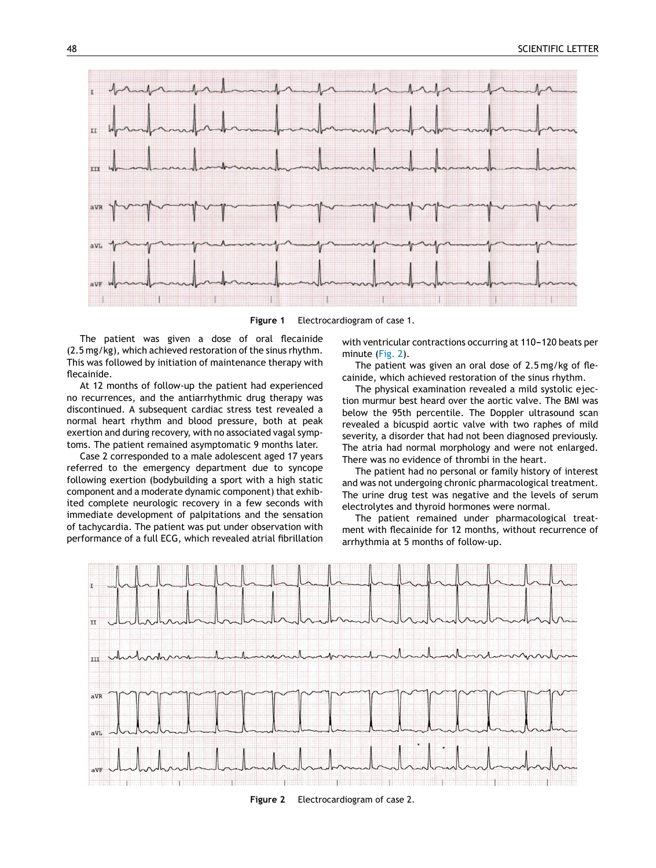<span id="page-1-0"></span>

**Figure 1** Electrocardiogram of case 1.

The patient was given a dose of oral flecainide (2.5 mg/kg), which achieved restoration of the sinus rhythm. This was followed by initiation of maintenance therapy with flecainide.

At 12 months of follow-up the patient had experienced no recurrences, and the antiarrhythmic drug therapy was discontinued. A subsequent cardiac stress test revealed a normal heart rhythm and blood pressure, both at peak exertion and during recovery, with no associated vagal symptoms. The patient remained asymptomatic 9 months later.

Case 2 corresponded to a male adolescent aged 17 years referred to the emergency department due to syncope following exertion (bodybuilding a sport with a high static component and a moderate dynamic component) that exhibited complete neurologic recovery in a few seconds with immediate development of palpitations and the sensation of tachycardia. The patient was put under observation with performance of a full ECG, which revealed atrial fibrillation with ventricular contractions occurring at 110-120 beats per minute (Fig. 2).

The patient was given an oral dose of 2.5 mg/kg of flecainide, which achieved restoration of the sinus rhythm.

The physical examination revealed a mild systolic ejection murmur best heard over the aortic valve. The BMI was below the 95th percentile. The Doppler ultrasound scan revealed a bicuspid aortic valve with two raphes of mild severity, a disorder that had not been diagnosed previously. The atria had normal morphology and were not enlarged. There was no evidence of thrombi in the heart.

The patient had no personal or family history of interest and was not undergoing chronic pharmacological treatment. The urine drug test was negative and the levels of serum electrolytes and thyroid hormones were normal.

The patient remained under pharmacological treatment with flecainide for 12 months, without recurrence of arrhythmia at 5 months of follow-up.



**Figure 2** Electrocardiogram of case 2.